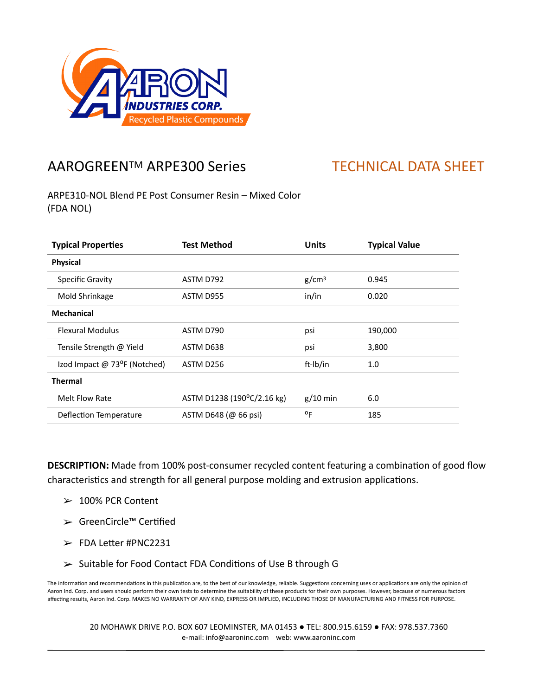

## AAROGREEN™ ARPE300 Series TECHNICAL DATA SHEET

ARPE310-NOL Blend PE Post Consumer Resin – Mixed Color (FDA NOL)

| <b>Typical Properties</b>    | <b>Test Method</b>         | <b>Units</b>      | <b>Typical Value</b> |
|------------------------------|----------------------------|-------------------|----------------------|
| <b>Physical</b>              |                            |                   |                      |
| Specific Gravity             | ASTM D792                  | g/cm <sup>3</sup> | 0.945                |
| Mold Shrinkage               | ASTM D955                  | in/in             | 0.020                |
| <b>Mechanical</b>            |                            |                   |                      |
| <b>Flexural Modulus</b>      | ASTM D790                  | psi               | 190,000              |
| Tensile Strength @ Yield     | ASTM D638                  | psi               | 3,800                |
| Izod Impact @ 73°F (Notched) | ASTM D256                  | ft-Ib/in          | 1.0                  |
| <b>Thermal</b>               |                            |                   |                      |
| Melt Flow Rate               | ASTM D1238 (190°C/2.16 kg) | $g/10$ min        | 6.0                  |
| Deflection Temperature       | ASTM D648 (@ 66 psi)       | °F                | 185                  |

**DESCRIPTION:** Made from 100% post-consumer recycled content featuring a combination of good flow characteristics and strength for all general purpose molding and extrusion applications.

- $> 100\%$  PCR Content
- > GreenCircle™ Certified
- $\ge$  FDA Letter #PNC2231
- $\triangleright$  Suitable for Food Contact FDA Conditions of Use B through G

The information and recommendations in this publication are, to the best of our knowledge, reliable. Suggestions concerning uses or applications are only the opinion of Aaron Ind. Corp. and users should perform their own tests to determine the suitability of these products for their own purposes. However, because of numerous factors affecting results, Aaron Ind. Corp. MAKES NO WARRANTY OF ANY KIND, EXPRESS OR IMPLIED, INCLUDING THOSE OF MANUFACTURING AND FITNESS FOR PURPOSE.

20 MOHAWK DRIVE P.O. BOX 607 LEOMINSTER, MA 01453 ● TEL: 800.915.6159 ● FAX: 978.537.7360 e-mail: info@aaroninc.com web: www.aaroninc.com